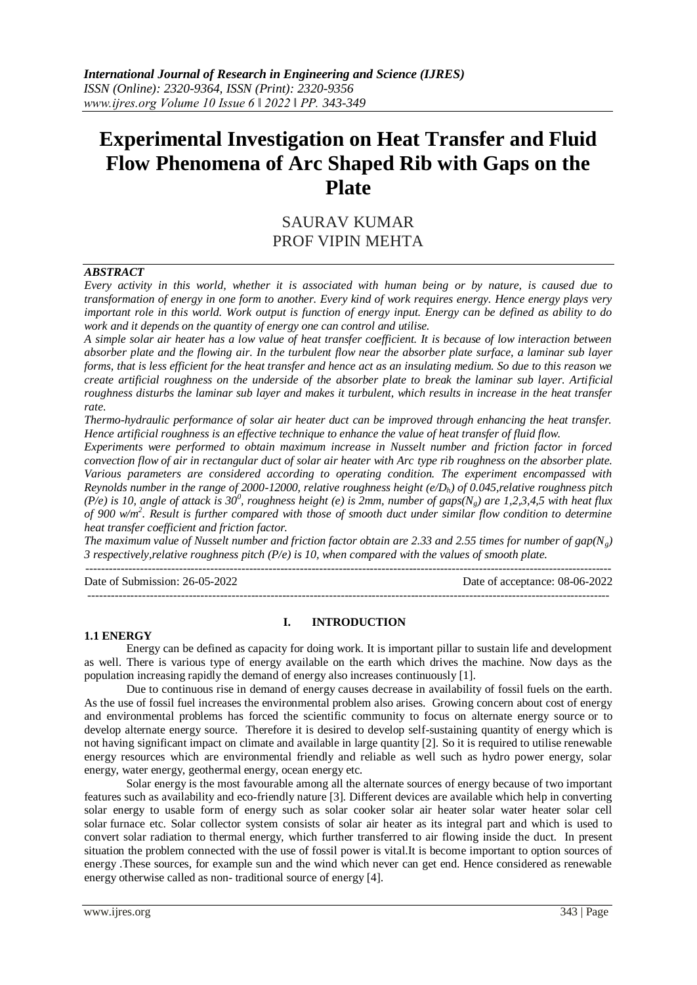# **Experimental Investigation on Heat Transfer and Fluid Flow Phenomena of Arc Shaped Rib with Gaps on the Plate**

## SAURAV KUMAR PROF VIPIN MEHTA

#### *ABSTRACT*

*Every activity in this world, whether it is associated with human being or by nature, is caused due to transformation of energy in one form to another. Every kind of work requires energy. Hence energy plays very important role in this world. Work output is function of energy input. Energy can be defined as ability to do work and it depends on the quantity of energy one can control and utilise.*

*A simple solar air heater has a low value of heat transfer coefficient. It is because of low interaction between absorber plate and the flowing air. In the turbulent flow near the absorber plate surface, a laminar sub layer forms, that is less efficient for the heat transfer and hence act as an insulating medium. So due to this reason we create artificial roughness on the underside of the absorber plate to break the laminar sub layer. Artificial roughness disturbs the laminar sub layer and makes it turbulent, which results in increase in the heat transfer rate.*

*Thermo-hydraulic performance of solar air heater duct can be improved through enhancing the heat transfer. Hence artificial roughness is an effective technique to enhance the value of heat transfer of fluid flow.*

*Experiments were performed to obtain maximum increase in Nusselt number and friction factor in forced convection flow of air in rectangular duct of solar air heater with Arc type rib roughness on the absorber plate. Various parameters are considered according to operating condition. The experiment encompassed with Reynolds number in the range of 2000-12000, relative roughness height (e/Dh) of 0.045,relative roughness pitch (P/e)* is 10, angle of attack is 30<sup>0</sup>, roughness height (e) is 2mm, number of gaps(N<sub>g</sub>) are 1,2,3,4,5 with heat flux *of 900 w/m<sup>2</sup> . Result is further compared with those of smooth duct under similar flow condition to determine heat transfer coefficient and friction factor.*

*The maximum value of Nusselt number and friction factor obtain are 2.33 and 2.55 times for number of gap(Ng) 3 respectively,relative roughness pitch (P/e) is 10, when compared with the values of smooth plate.* ---------------------------------------------------------------------------------------------------------------------------------------

Date of Submission: 26-05-2022 Date of acceptance: 08-06-2022

**1.1 ENERGY**

## **I. INTRODUCTION**

--------------------------------------------------------------------------------------------------------------------------------------

Energy can be defined as capacity for doing work. It is important pillar to sustain life and development as well. There is various type of energy available on the earth which drives the machine. Now days as the population increasing rapidly the demand of energy also increases continuously [1].

Due to continuous rise in demand of energy causes decrease in availability of fossil fuels on the earth. As the use of fossil fuel increases the environmental problem also arises. Growing concern about cost of energy and environmental problems has forced the scientific community to focus on alternate energy source or to develop alternate energy source. Therefore it is desired to develop self-sustaining quantity of energy which is not having significant impact on climate and available in large quantity [2]. So it is required to utilise renewable energy resources which are environmental friendly and reliable as well such as hydro power energy, solar energy, water energy, geothermal energy, ocean energy etc.

Solar energy is the most favourable among all the alternate sources of energy because of two important features such as availability and eco-friendly nature [3]. Different devices are available which help in converting solar energy to usable form of energy such as solar cooker solar air heater solar water heater solar cell solar furnace etc. Solar collector system consists of solar air heater as its integral part and which is used to convert solar radiation to thermal energy, which further transferred to air flowing inside the duct. In present situation the problem connected with the use of fossil power is vital.It is become important to option sources of energy .These sources, for example sun and the wind which never can get end. Hence considered as renewable energy otherwise called as non- traditional source of energy [4].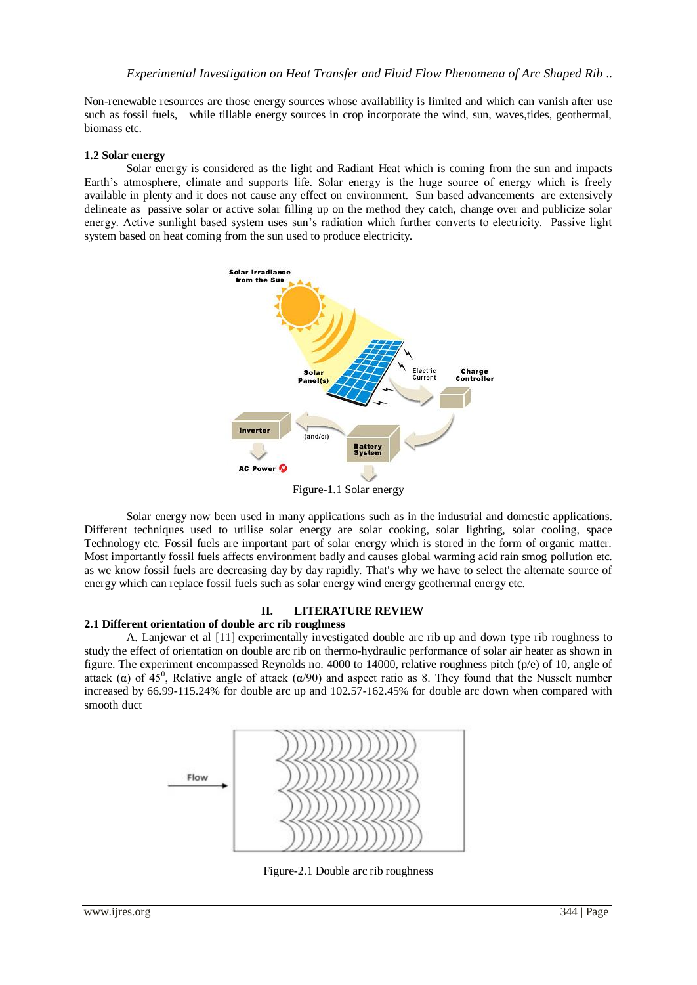Non-renewable resources are those energy sources whose availability is limited and which can vanish after use such as fossil fuels, while tillable energy sources in crop incorporate the wind, sun, waves,tides, geothermal, biomass etc.

### **1.2 Solar energy**

Solar energy is considered as the light and Radiant Heat which is coming from the sun and impacts Earth's atmosphere, climate and supports life. Solar energy is the huge source of energy which is freely available in plenty and it does not cause any effect on environment. Sun based advancements are extensively delineate as passive solar or active solar filling up on the method they catch, change over and publicize solar energy. Active sunlight based system uses sun's radiation which further converts to electricity. Passive light system based on heat coming from the sun used to produce electricity.



Solar energy now been used in many applications such as in the industrial and domestic applications. Different techniques used to utilise solar energy are solar cooking, solar lighting, solar cooling, space Technology etc. Fossil fuels are important part of solar energy which is stored in the form of organic matter. Most importantly fossil fuels affects environment badly and causes global warming acid rain smog pollution etc. as we know fossil fuels are decreasing day by day rapidly. That's why we have to select the alternate source of energy which can replace fossil fuels such as solar energy wind energy geothermal energy etc.

## **II. LITERATURE REVIEW**

## **2.1 Different orientation of double arc rib roughness**

A. Lanjewar et al [11] experimentally investigated double arc rib up and down type rib roughness to study the effect of orientation on double arc rib on thermo-hydraulic performance of solar air heater as shown in figure. The experiment encompassed Reynolds no. 4000 to 14000, relative roughness pitch (p/e) of 10, angle of attack ( $\alpha$ ) of 45<sup>0</sup>, Relative angle of attack ( $\alpha$ /90) and aspect ratio as 8. They found that the Nusselt number increased by 66.99-115.24% for double arc up and 102.57-162.45% for double arc down when compared with smooth duct



Figure-2.1 Double arc rib roughness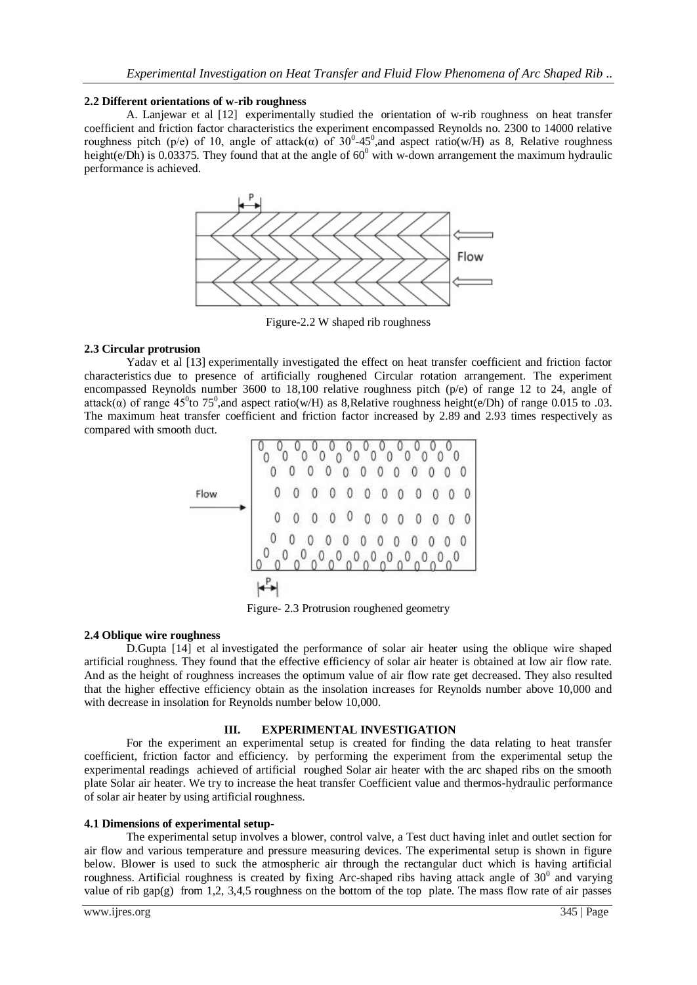#### **2.2 Different orientations of w-rib roughness**

A. Lanjewar et al [12] experimentally studied the orientation of w-rib roughness on heat transfer coefficient and friction factor characteristics the experiment encompassed Reynolds no. 2300 to 14000 relative roughness pitch (p/e) of 10, angle of attack(α) of  $30^{\circ}$ -45<sup>°</sup>, and aspect ratio(w/H) as 8, Relative roughness height(e/Dh) is 0.03375. They found that at the angle of  $60^0$  with w-down arrangement the maximum hydraulic performance is achieved.



Figure-2.2 W shaped rib roughness

#### **2.3 Circular protrusion**

Yadav et al [13] experimentally investigated the effect on heat transfer coefficient and friction factor characteristics due to presence of artificially roughened Circular rotation arrangement. The experiment encompassed Reynolds number 3600 to 18,100 relative roughness pitch (p/e) of range 12 to 24, angle of attack( $\alpha$ ) of range 45<sup>0</sup>to 75<sup>0</sup>, and aspect ratio(w/H) as 8,Relative roughness height(e/Dh) of range 0.015 to .03. The maximum heat transfer coefficient and friction factor increased by 2.89 and 2.93 times respectively as compared with smooth duct.

| Flow | 0 | $\mathbf{0}$ | $\mathbf{0}$ | $\overline{0}$ | $\overline{0}$ | 000000   |                |            |                |                |            | 0              |
|------|---|--------------|--------------|----------------|----------------|----------|----------------|------------|----------------|----------------|------------|----------------|
|      | 0 |              | $\theta$     | 0 0 0 0        |                |          |                | $\sqrt{0}$ | 0              | $\overline{0}$ | $\sqrt{0}$ |                |
|      | 0 |              |              | $\theta$       | V              | $\theta$ | $\overline{0}$ | 0          | $\overline{0}$ | 0              | $\theta$   | $\overline{0}$ |

Figure- 2.3 Protrusion roughened geometry

## **2.4 Oblique wire roughness**

D.Gupta [14] et al investigated the performance of solar air heater using the oblique wire shaped artificial roughness. They found that the effective efficiency of solar air heater is obtained at low air flow rate. And as the height of roughness increases the optimum value of air flow rate get decreased. They also resulted that the higher effective efficiency obtain as the insolation increases for Reynolds number above 10,000 and with decrease in insolation for Reynolds number below 10,000.

#### **III. EXPERIMENTAL INVESTIGATION**

For the experiment an experimental setup is created for finding the data relating to heat transfer coefficient, friction factor and efficiency. by performing the experiment from the experimental setup the experimental readings achieved of artificial roughed Solar air heater with the arc shaped ribs on the smooth plate Solar air heater. We try to increase the heat transfer Coefficient value and thermos-hydraulic performance of solar air heater by using artificial roughness.

#### **4.1 Dimensions of experimental setup-**

The experimental setup involves a blower, control valve, a Test duct having inlet and outlet section for air flow and various temperature and pressure measuring devices. The experimental setup is shown in figure below. Blower is used to suck the atmospheric air through the rectangular duct which is having artificial roughness. Artificial roughness is created by fixing Arc-shaped ribs having attack angle of  $30^0$  and varying value of rib gap(g) from 1,2, 3,4,5 roughness on the bottom of the top plate. The mass flow rate of air passes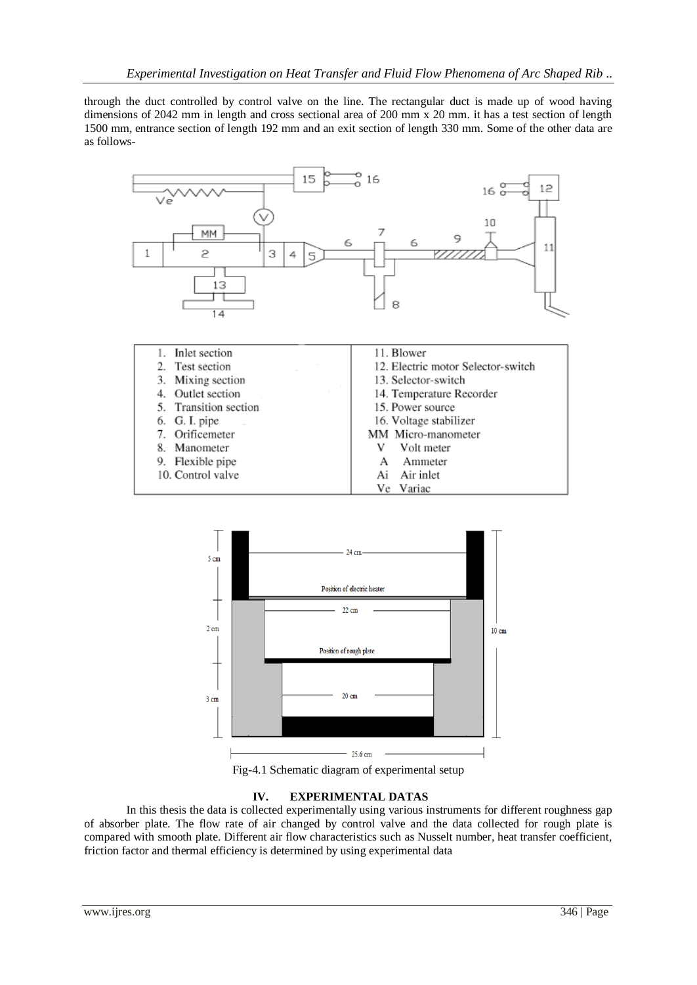through the duct controlled by control valve on the line. The rectangular duct is made up of wood having dimensions of 2042 mm in length and cross sectional area of 200 mm x 20 mm. it has a test section of length 1500 mm, entrance section of length 192 mm and an exit section of length 330 mm. Some of the other data are as follows-





Fig-4.1 Schematic diagram of experimental setup

## **IV. EXPERIMENTAL DATAS**

In this thesis the data is collected experimentally using various instruments for different roughness gap of absorber plate. The flow rate of air changed by control valve and the data collected for rough plate is compared with smooth plate. Different air flow characteristics such as Nusselt number, heat transfer coefficient, friction factor and thermal efficiency is determined by using experimental data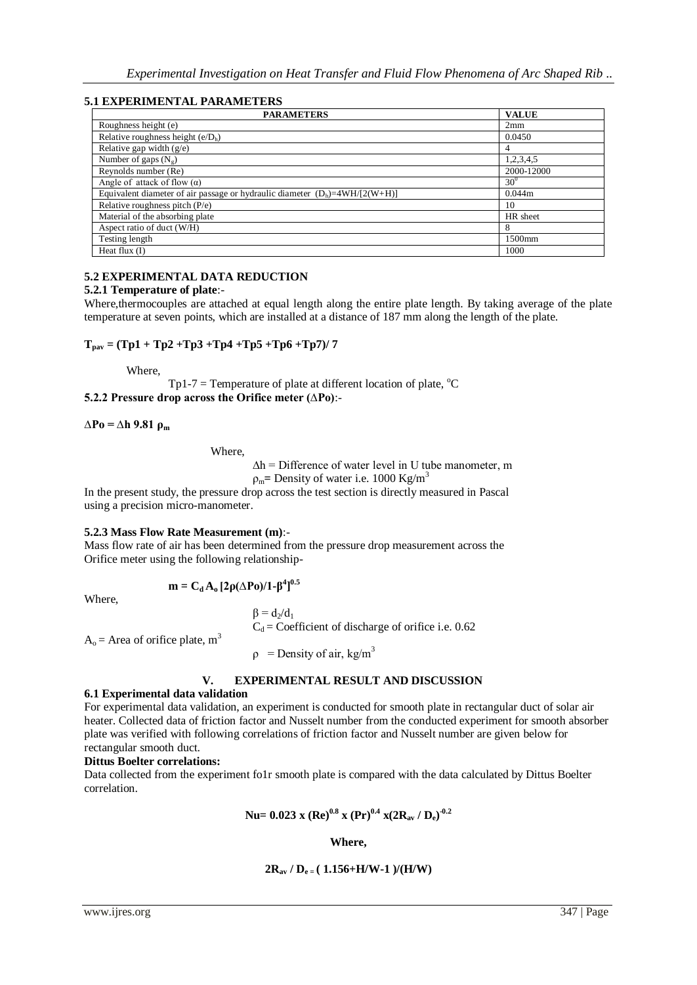## **5.1 EXPERIMENTAL PARAMETERS**

| <b>PARAMETERS</b>                                                               | <b>VALUE</b> |
|---------------------------------------------------------------------------------|--------------|
| Roughness height (e)                                                            | 2mm          |
| Relative roughness height $(e/Dh)$                                              | 0.0450       |
| Relative gap width $(g/e)$                                                      | 4            |
| Number of gaps $(N_g)$                                                          | 1,2,3,4,5    |
| Reynolds number (Re)                                                            | 2000-12000   |
| Angle of attack of flow $(\alpha)$                                              | $30^\circ$   |
| Equivalent diameter of air passage or hydraulic diameter $(D_h) = 4WH/[2(W+H)]$ | 0.044m       |
| Relative roughness pitch $(P/e)$                                                | 10           |
| Material of the absorbing plate                                                 | HR sheet     |
| Aspect ratio of duct (W/H)                                                      | 8            |
| Testing length                                                                  | 1500mm       |
| Heat flux $(I)$                                                                 | 1000         |

## **5.2 EXPERIMENTAL DATA REDUCTION**

#### **5.2.1 Temperature of plate**:-

Where,thermocouples are attached at equal length along the entire plate length. By taking average of the plate temperature at seven points, which are installed at a distance of 187 mm along the length of the plate.

## $T_{\text{pav}} = (Tp1 + Tp2 + Tp3 + Tp4 + Tp5 + Tp6 + Tp7)/7$

Where,

 $Tp1-7$  = Temperature of plate at different location of plate,  $^{\circ}C$ **5.2.2 Pressure drop across the Orifice meter (∆Po)**:-

#### **∆Po = ∆h 9.81 ρ<sup>m</sup>**

Where,

 $\Delta h$  = Difference of water level in U tube manometer, m

 $ρ<sub>m</sub>$  = Density of water i.e. 1000 Kg/m<sup>3</sup>

In the present study, the pressure drop across the test section is directly measured in Pascal using a precision micro-manometer.

#### **5.2.3 Mass Flow Rate Measurement (m)**:-

Mass flow rate of air has been determined from the pressure drop measurement across the Orifice meter using the following relationship-

$$
\mathbf{m} = \mathbf{C}_{\mathbf{d}} \mathbf{A}_{\mathbf{0}} \left[ 2\rho (\Delta \mathbf{P} \mathbf{0})/1 - \beta^4 \right]^{0.5}
$$

Where,

 $\beta = d_2/d_1$  $C_d$  = Coefficient of discharge of orifice i.e. 0.62

 $A<sub>o</sub>$  = Area of orifice plate, m<sup>3</sup>

 $\rho$  = Density of air, kg/m<sup>3</sup>

## **V. EXPERIMENTAL RESULT AND DISCUSSION**

#### **6.1 Experimental data validation**

For experimental data validation, an experiment is conducted for smooth plate in rectangular duct of solar air heater. Collected data of friction factor and Nusselt number from the conducted experiment for smooth absorber plate was verified with following correlations of friction factor and Nusselt number are given below for rectangular smooth duct.

#### **Dittus Boelter correlations:**

Data collected from the experiment fo1r smooth plate is compared with the data calculated by Dittus Boelter correlation.

**Nu= 0.023 x (Re)0.8 x (Pr)0.4 x(2Rav / De) -0.2**

**Where,**

$$
2R_{av}\,/\,D_{e\,-}(\,\,1.156\text{+H/W-1}\,\,)/(H/W)
$$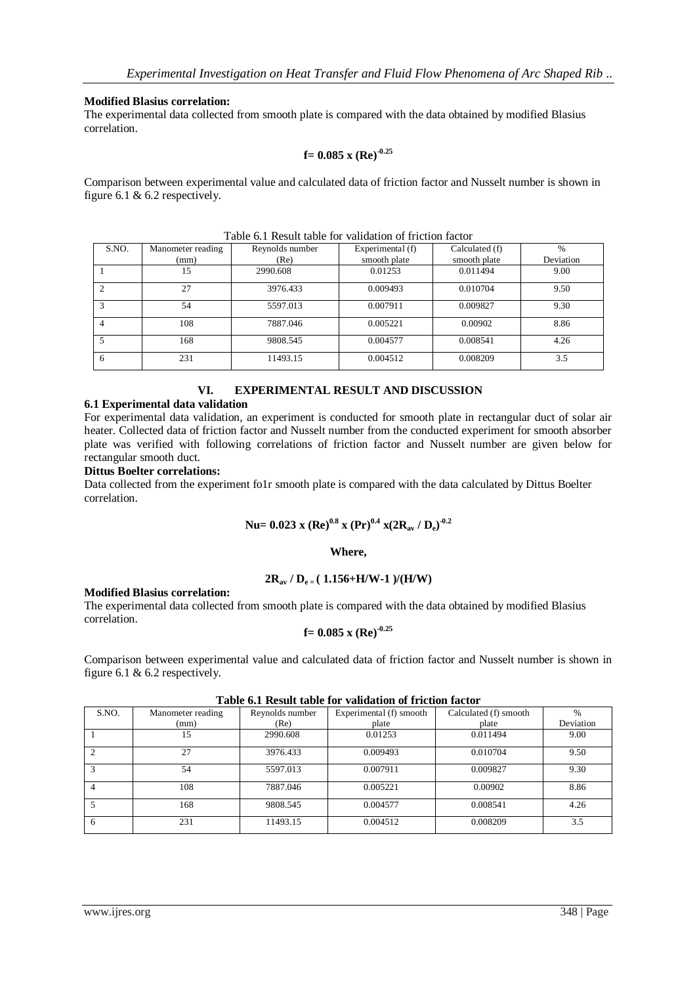#### **Modified Blasius correlation:**

The experimental data collected from smooth plate is compared with the data obtained by modified Blasius correlation.

#### **f= 0.085 x (Re)-0.25**

Comparison between experimental value and calculated data of friction factor and Nusselt number is shown in figure 6.1 & 6.2 respectively.

| Table 6.1 Result table for validation of friction factor |                   |                 |                  |                |               |  |  |
|----------------------------------------------------------|-------------------|-----------------|------------------|----------------|---------------|--|--|
| S.NO.                                                    | Manometer reading | Reynolds number | Experimental (f) | Calculated (f) | $\frac{0}{0}$ |  |  |
|                                                          | (mm)              | (Re)            | smooth plate     | smooth plate   | Deviation     |  |  |
|                                                          | 15                | 2990.608        | 0.01253          | 0.011494       | 9.00          |  |  |
|                                                          | 27                | 3976.433        | 0.009493         | 0.010704       | 9.50          |  |  |
|                                                          | 54                | 5597.013        | 0.007911         | 0.009827       | 9.30          |  |  |
|                                                          | 108               | 7887.046        | 0.005221         | 0.00902        | 8.86          |  |  |
|                                                          | 168               | 9808.545        | 0.004577         | 0.008541       | 4.26          |  |  |
| 6                                                        | 231               | 11493.15        | 0.004512         | 0.008209       | 3.5           |  |  |

 $T_{\rm eff}$  and  $\epsilon$ . The subtract  $\Gamma$  of  $\epsilon$  are validation of friction factor

#### **VI. EXPERIMENTAL RESULT AND DISCUSSION**

## **6.1 Experimental data validation**

For experimental data validation, an experiment is conducted for smooth plate in rectangular duct of solar air heater. Collected data of friction factor and Nusselt number from the conducted experiment for smooth absorber plate was verified with following correlations of friction factor and Nusselt number are given below for rectangular smooth duct.

## **Dittus Boelter correlations:**

Data collected from the experiment fo1r smooth plate is compared with the data calculated by Dittus Boelter correlation.

## **Nu= 0.023 x (Re)0.8 x (Pr)0.4 x(2Rav / De) -0.2**

#### **Where,**

## $2R_{av}$  /  $D_{e} = (1.156 + H/W - 1) / (H/W)$

#### **Modified Blasius correlation:**

The experimental data collected from smooth plate is compared with the data obtained by modified Blasius correlation.

$$
f = 0.085
$$
 x (Re)<sup>-0.25</sup>

Comparison between experimental value and calculated data of friction factor and Nusselt number is shown in figure 6.1 & 6.2 respectively.

| Table v.f Kesult table for vanuation of freuon factor |                   |                 |                         |                       |               |  |  |  |
|-------------------------------------------------------|-------------------|-----------------|-------------------------|-----------------------|---------------|--|--|--|
| S.NO.                                                 | Manometer reading | Reynolds number | Experimental (f) smooth | Calculated (f) smooth | $\frac{0}{0}$ |  |  |  |
|                                                       | (mm)              | (Re)            | plate                   | plate                 | Deviation     |  |  |  |
|                                                       | 15                | 2990.608        | 0.01253                 | 0.011494              | 9.00          |  |  |  |
|                                                       | 27                | 3976.433        | 0.009493                | 0.010704              | 9.50          |  |  |  |
|                                                       | 54                | 5597.013        | 0.007911                | 0.009827              | 9.30          |  |  |  |
|                                                       | 108               | 7887.046        | 0.005221                | 0.00902               | 8.86          |  |  |  |
|                                                       | 168               | 9808.545        | 0.004577                | 0.008541              | 4.26          |  |  |  |
| 6                                                     | 231               | 11493.15        | 0.004512                | 0.008209              | 3.5           |  |  |  |